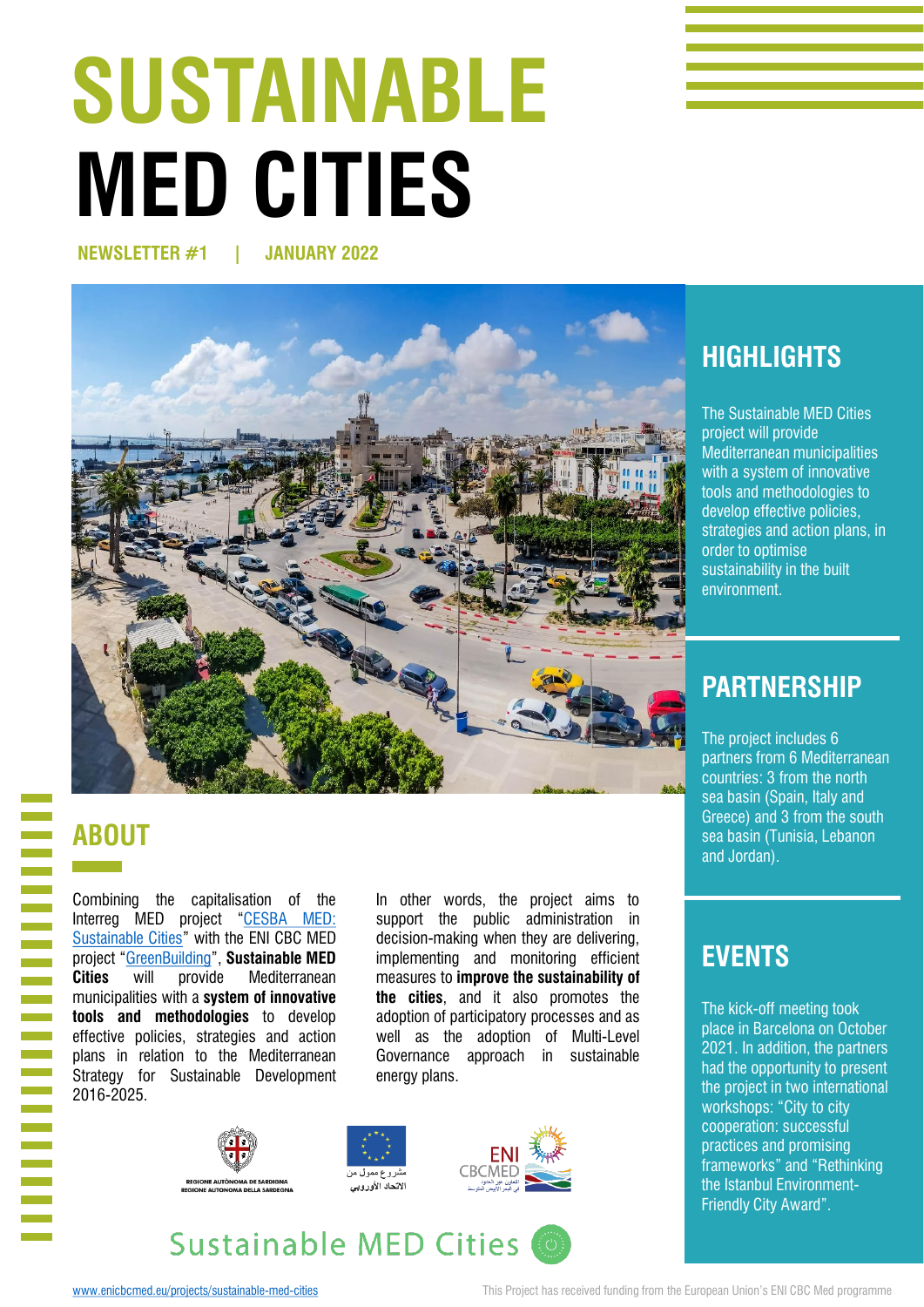# **SUSTAINABLE MED CITIES**

**NEWSLETTER #1 | JANUARY 2022**



# **HIGHLIGHTS**

The Sustainable MED Cities project will provide Mediterranean municipalities with a system of innovative tools and methodologies to develop effective policies, strategies and action plans, in order to optimise sustainability in the built environment.

# **PARTNERSHIP**

The project includes 6 partners from 6 Mediterranean countries: 3 from the north sea basin (Spain, Italy and Greece) and 3 from the south sea basin (Tunisia, Lebanon and Jordan).

# **ABOUT**

Combining the capitalisation of the Interreg MED project "CESBA MED: [Sustainable](https://cesba-med.interreg-med.eu/) Cities" with the ENI CBC MED project "[GreenBuilding](https://www.enicbcmed.eu/projects/greenbuilding)", **Sustainable MED Cities** will provide Mediterranean municipalities with a **system of innovative tools and methodologies** to develop effective policies, strategies and action plans in relation to the Mediterranean Strategy for Sustainable Development 2016-2025.

In other words, the project aims to support the public administration in decision-making when they are delivering, implementing and monitoring efficient measures to **improve the sustainability of the cities**, and it also promotes the adoption of participatory processes and as well as the adoption of Multi-Level Governance approach in sustainable energy plans.



### **EVENTS**

The kick-off meeting took place in Barcelona on October 2021. In addition, the partners had the opportunity to present the project in two international workshops: "City to city cooperation: successful practices and promising frameworks" and "Rethinking the Istanbul Environment-Friendly City Award".

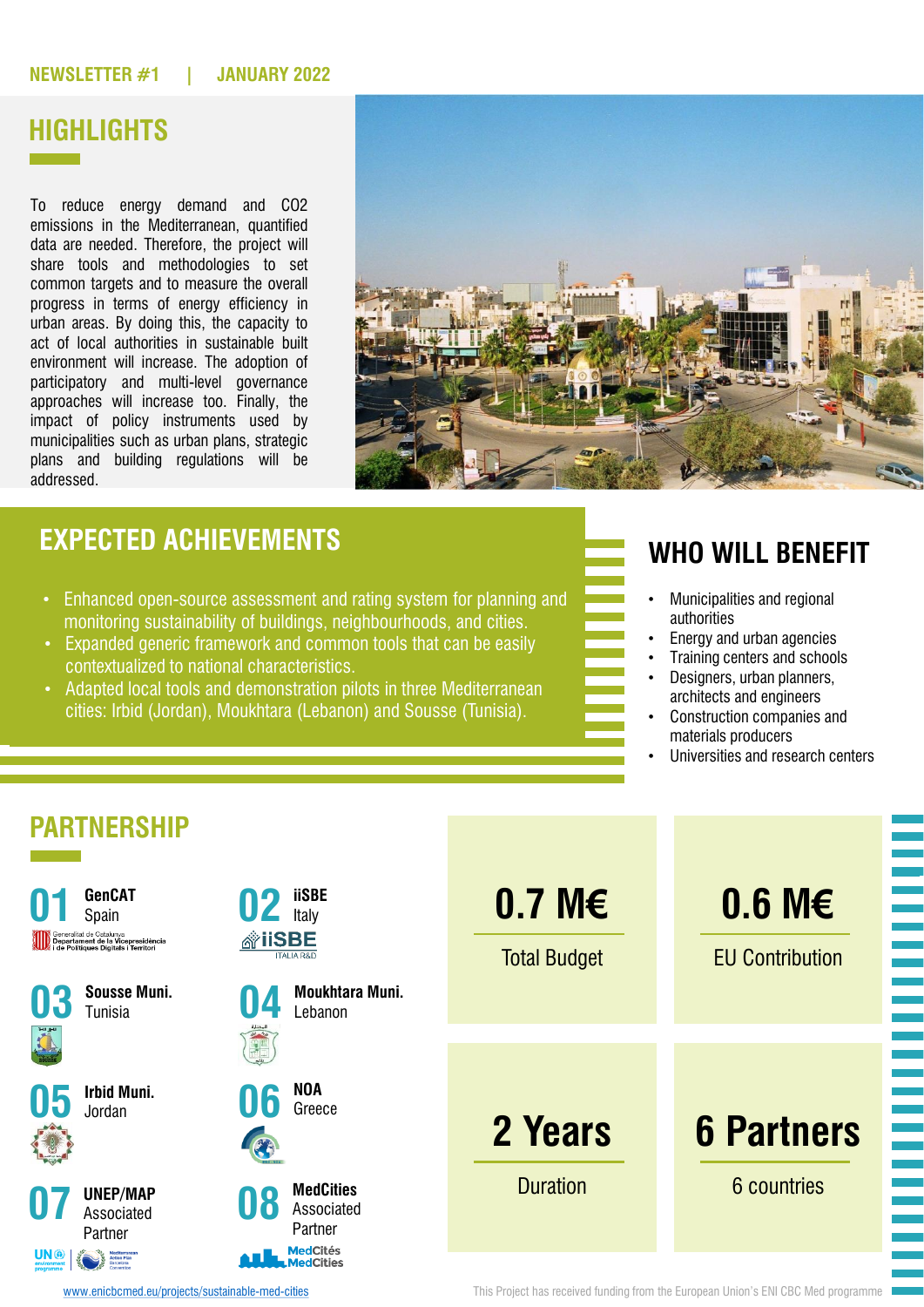#### **NEWSLETTER #1 | JANUARY 2022**

# **HIGHLIGHTS**

To reduce energy demand and CO2 emissions in the Mediterranean, quantified data are needed. Therefore, the project will share tools and methodologies to set common targets and to measure the overall progress in terms of energy efficiency in urban areas. By doing this, the capacity to act of local authorities in sustainable built environment will increase. The adoption of participatory and multi-level governance approaches will increase too. Finally, the impact of policy instruments used by municipalities such as urban plans, strategic plans and building regulations will be addressed.



#### **EXPECTED ACHIEVEMENTS**

- Enhanced open-source assessment and rating system for planning and monitoring sustainability of buildings, neighbourhoods, and cities.
- Expanded generic framework and common tools that can be easily contextualized to national characteristics.
- Adapted local tools and demonstration pilots in three Mediterranean cities: Irbid (Jordan), Moukhtara (Lebanon) and Sousse (Tunisia).

#### **WHO WILL BENEFIT**

- Municipalities and regional authorities
- Energy and urban agencies
- Training centers and schools
- Designers, urban planners, architects and engineers
- Construction companies and materials producers
- Universities and research centers



[www.enicbcmed.eu/projects/sustainable-med-cities](http://www.enicbcmed.eu/projects/sustainable-med-cities) This Project has received funding from the European Union's ENI CBC Med programme